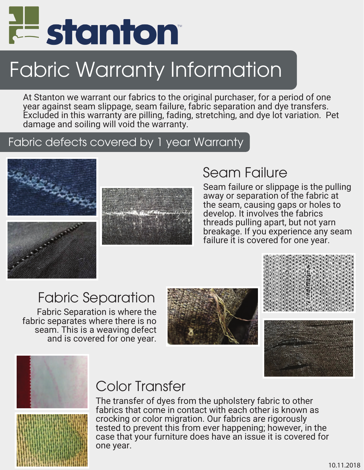

# Fabric Warranty Information

At Stanton we warrant our fabrics to the original purchaser, for a period of one year against seam slippage, seam failure, fabric separation and dye transfers. Excluded in this warranty are pilling, fading, stretching, and dye lot variation. Pet damage and soiling will void the warranty.

#### Fabric defects covered by 1 year Warranty





#### Seam Failure

Seam failure or slippage is the pulling away or separation of the fabric at the seam, causing gaps or holes to develop. It involves the fabrics threads pulling apart, but not yarn breakage. If you experience any seam failure it is covered for one year.

## Fabric Separation

Fabric Separation is where the fabric separates where there is no seam. This is a weaving defect and is covered for one year.









#### Color Transfer

The transfer of dyes from the upholstery fabric to other fabrics that come in contact with each other is known as crocking or color migration. Our fabrics are rigorously tested to prevent this from ever happening; however, in the case that your furniture does have an issue it is covered for one year.